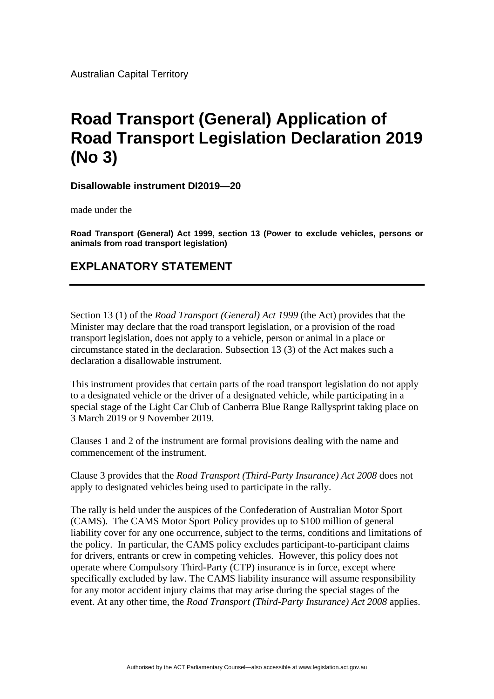Australian Capital Territory

## **Road Transport (General) Application of Road Transport Legislation Declaration 2019 (No 3)**

**Disallowable instrument DI2019—20**

made under the

**Road Transport (General) Act 1999, section 13 (Power to exclude vehicles, persons or animals from road transport legislation)**

## **EXPLANATORY STATEMENT**

Section 13 (1) of the *Road Transport (General) Act 1999* (the Act) provides that the Minister may declare that the road transport legislation, or a provision of the road transport legislation, does not apply to a vehicle, person or animal in a place or circumstance stated in the declaration. Subsection 13 (3) of the Act makes such a declaration a disallowable instrument.

This instrument provides that certain parts of the road transport legislation do not apply to a designated vehicle or the driver of a designated vehicle, while participating in a special stage of the Light Car Club of Canberra Blue Range Rallysprint taking place on 3 March 2019 or 9 November 2019.

Clauses 1 and 2 of the instrument are formal provisions dealing with the name and commencement of the instrument.

Clause 3 provides that the *Road Transport (Third-Party Insurance) Act 2008* does not apply to designated vehicles being used to participate in the rally.

The rally is held under the auspices of the Confederation of Australian Motor Sport (CAMS). The CAMS Motor Sport Policy provides up to \$100 million of general liability cover for any one occurrence, subject to the terms, conditions and limitations of the policy. In particular, the CAMS policy excludes participant-to-participant claims for drivers, entrants or crew in competing vehicles. However, this policy does not operate where Compulsory Third-Party (CTP) insurance is in force, except where specifically excluded by law. The CAMS liability insurance will assume responsibility for any motor accident injury claims that may arise during the special stages of the event. At any other time, the *Road Transport (Third-Party Insurance) Act 2008* applies.